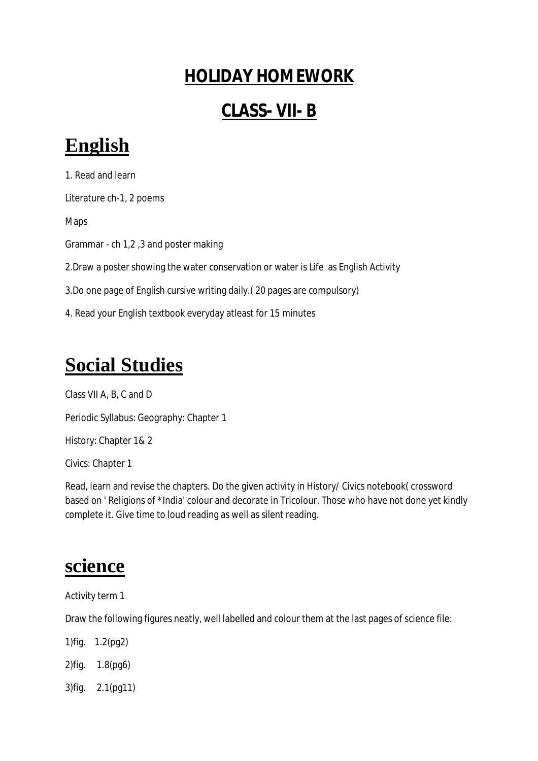#### **HOLIDAY HOMEWORK**

#### **CLASS- VII- B**

# **English**

1. Read and learn Literature ch-1, 2 poems Maps Grammar - ch 1,2 ,3 and poster making 2.Draw a poster showing the water conservation or water is Life as English Activity 3.Do one page of English cursive writing daily.( 20 pages are compulsory) 4. Read your English textbook everyday atleast for 15 minutes

# **Social Studies**

Class VII A, B, C and D Periodic Syllabus: Geography: Chapter 1 History: Chapter 1& 2 Civics: Chapter 1

Read, learn and revise the chapters. Do the given activity in History/ Civics notebook( crossword based on ' Religions of \*India' colour and decorate in Tricolour. Those who have not done yet kindly complete it. Give time to loud reading as well as silent reading.

### **science**

Activity term 1

Draw the following figures neatly, well labelled and colour them at the last pages of science file:

1)fig. 1.2(pg2)

2)fig. 1.8(pg6)

3)fig. 2.1(pg11)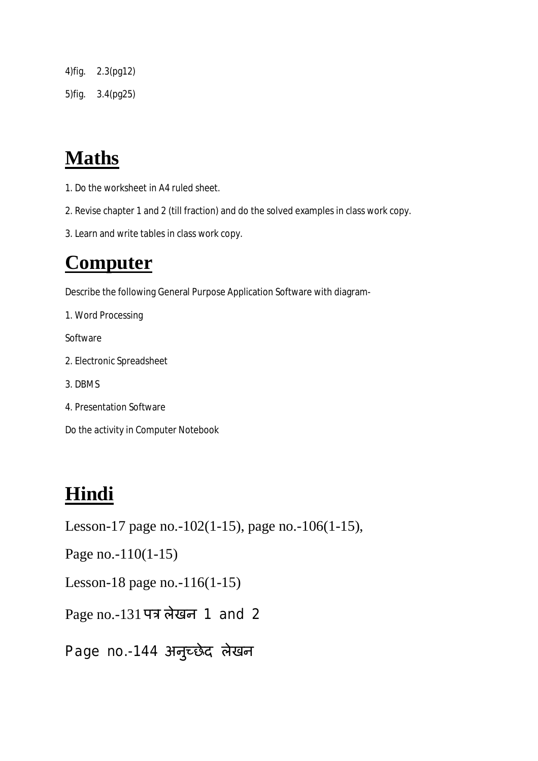4)fig. 2.3(pg12) 5)fig. 3.4(pg25)

# **Maths**

- 1. Do the worksheet in A4 ruled sheet.
- 2. Revise chapter 1 and 2 (till fraction) and do the solved examples in class work copy.
- 3. Learn and write tables in class work copy.

### **Computer**

Describe the following General Purpose Application Software with diagram-

1. Word Processing

Software

- 2. Electronic Spreadsheet
- 3. DBMS
- 4. Presentation Software

Do the activity in Computer Notebook

## **Hindi**

Lesson-17 page no.-102(1-15), page no.-106(1-15),

Page no.-110(1-15)

Lesson-18 page no.-116(1-15)

Page no.-131 पत्र लेखन 1 and 2

Page no.-144 अनुच्छेद लेखन